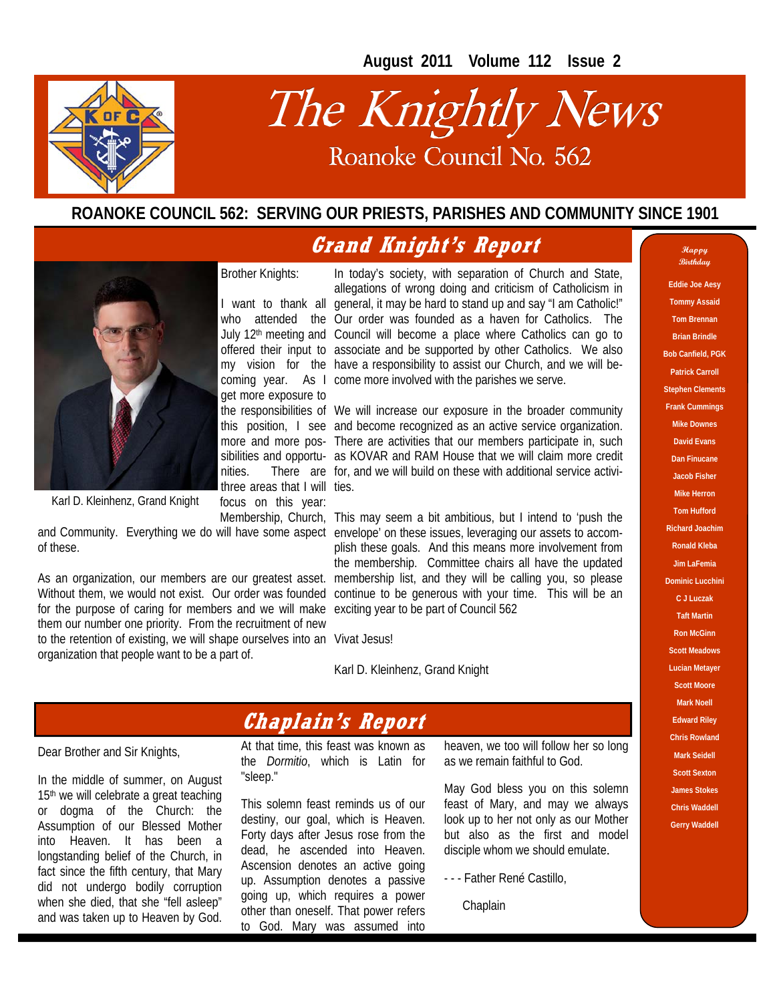**August 2011 Volume 112 Issue 2** 



# The Knightly News Roanoke Council No. 562

### **ROANOKE COUNCIL 562: SERVING OUR PRIESTS, PARISHES AND COMMUNITY SINCE 1901**

### **Grand Knight's Report**



Karl D. Kleinhenz, Grand Knight

of these.

for the purpose of caring for members and we will make exciting year to be part of Council 562 them our number one priority. From the recruitment of new to the retention of existing, we will shape ourselves into an Vivat Jesus! organization that people want to be a part of.

I want to thank all general, it may be hard to stand up and say "I am Catholic!" who attended the Our order was founded as a haven for Catholics. The July 12<sup>th</sup> meeting and Council will become a place where Catholics can go to offered their input to associate and be supported by other Catholics. We also my vision for the have a responsibility to assist our Church, and we will becoming year. As I come more involved with the parishes we serve. In today's society, with separation of Church and State, allegations of wrong doing and criticism of Catholicism in

the responsibilities of We will increase our exposure in the broader community this position, I see and become recognized as an active service organization. more and more pos-There are activities that our members participate in, such sibilities and opportu-as KOVAR and RAM House that we will claim more credit nities. There are for, and we will build on these with additional service activithree areas that I will ties.

Membership, Church, This may seem a bit ambitious, but I intend to 'push the and Community. Everything we do will have some aspect envelope' on these issues, leveraging our assets to accom-As an organization, our members are our greatest asset. membership list, and they will be calling you, so please Without them, we would not exist. Our order was founded continue to be generous with your time. This will be an plish these goals. And this means more involvement from the membership. Committee chairs all have the updated

Karl D. Kleinhenz, Grand Knight

### **Chaplain's Report**

Dear Brother and Sir Knights,

In the middle of summer, on August 15<sup>th</sup> we will celebrate a great teaching or dogma of the Church: the Assumption of our Blessed Mother into Heaven. It has been a longstanding belief of the Church, in fact since the fifth century, that Mary did not undergo bodily corruption when she died, that she "fell asleep" and was taken up to Heaven by God.

At that time, this feast was known as the *Dormitio*, which is Latin for "sleep."

This solemn feast reminds us of our destiny, our goal, which is Heaven. Forty days after Jesus rose from the dead, he ascended into Heaven. Ascension denotes an active going up. Assumption denotes a passive going up, which requires a power other than oneself. That power refers to God. Mary was assumed into

heaven, we too will follow her so long as we remain faithful to God.

May God bless you on this solemn feast of Mary, and may we always look up to her not only as our Mother but also as the first and model disciple whom we should emulate.

- - - Father René Castillo,

Chaplain

**Happy Birthday** 

**Eddie Joe Aesy** 

**Tommy Assaid Tom Brennan Brian Brindle Bob Canfield, PGK Patrick Carroll Stephen Clements Frank Cummings Mike Downes David Evans Dan Finucane Jacob Fisher Mike Herron Tom Hufford Richard Joachim Ronald Kleba Jim LaFemia Dominic Lucchini C J Luczak Taft Martin Ron McGinn Scott Meadows Lucian Metayer Scott Moore Mark Noell Edward Riley Chris Rowland Mark Seidell Scott Sexton James Stokes Chris Waddell Gerry Waddell**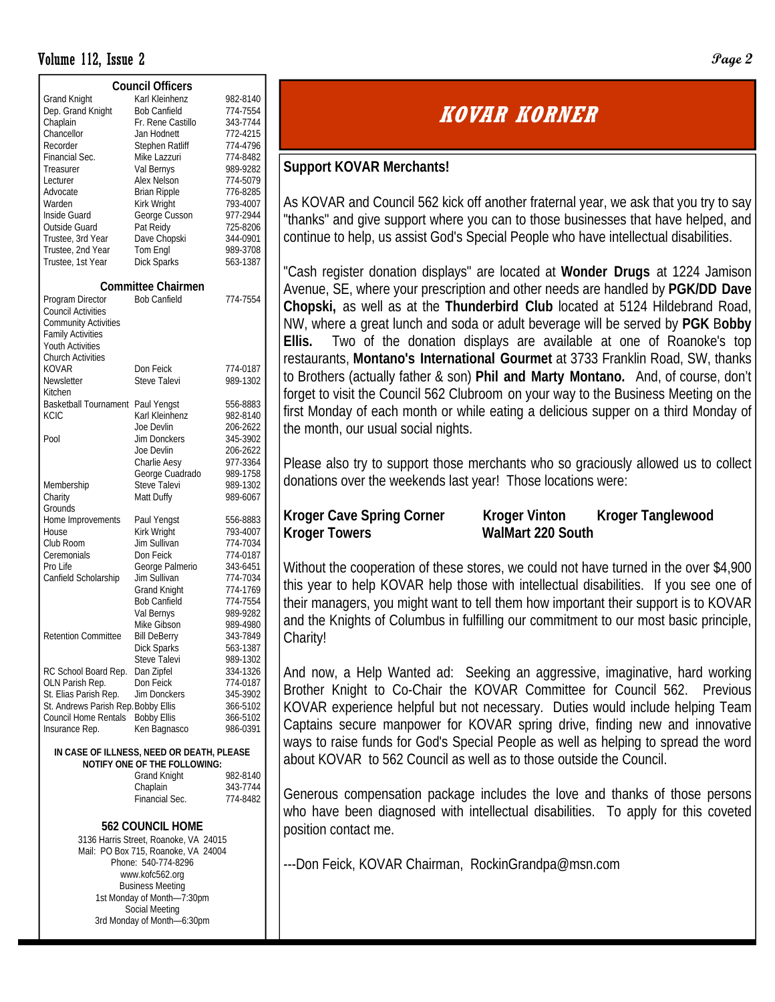#### Volume 112, Issue 2 **Page 2**

| <b>Council Officers</b>             |                                                                           |          |  |  |  |  |  |  |
|-------------------------------------|---------------------------------------------------------------------------|----------|--|--|--|--|--|--|
| <b>Grand Knight</b>                 | Karl Kleinhenz                                                            | 982-8140 |  |  |  |  |  |  |
| Dep. Grand Knight                   | <b>Bob Canfield</b>                                                       | 774-7554 |  |  |  |  |  |  |
| Chaplain                            | Fr. Rene Castillo                                                         | 343-7744 |  |  |  |  |  |  |
| Chancellor                          | Jan Hodnett                                                               | 772-4215 |  |  |  |  |  |  |
| Recorder                            | Stephen Ratliff                                                           | 774-4796 |  |  |  |  |  |  |
| Financial Sec.                      | Mike Lazzuri                                                              | 774-8482 |  |  |  |  |  |  |
| Treasurer                           | Val Bernys                                                                | 989-9282 |  |  |  |  |  |  |
| Lecturer                            | Alex Nelson                                                               | 774-5079 |  |  |  |  |  |  |
| Advocate                            | <b>Brian Ripple</b>                                                       | 776-8285 |  |  |  |  |  |  |
| Warden                              | Kirk Wright                                                               | 793-4007 |  |  |  |  |  |  |
| Inside Guard                        | George Cusson                                                             | 977-2944 |  |  |  |  |  |  |
| Outside Guard                       | Pat Reidy                                                                 | 725-8206 |  |  |  |  |  |  |
| Trustee, 3rd Year                   | Dave Chopski                                                              | 344-0901 |  |  |  |  |  |  |
| Trustee, 2nd Year                   | Tom Engl                                                                  | 989-3708 |  |  |  |  |  |  |
| Trustee, 1st Year                   | <b>Dick Sparks</b>                                                        | 563-1387 |  |  |  |  |  |  |
|                                     |                                                                           |          |  |  |  |  |  |  |
|                                     | <b>Committee Chairmen</b>                                                 |          |  |  |  |  |  |  |
| Program Director                    | <b>Bob Canfield</b>                                                       | 774-7554 |  |  |  |  |  |  |
| <b>Council Activities</b>           |                                                                           |          |  |  |  |  |  |  |
| <b>Community Activities</b>         |                                                                           |          |  |  |  |  |  |  |
| <b>Family Activities</b>            |                                                                           |          |  |  |  |  |  |  |
| <b>Youth Activities</b>             |                                                                           |          |  |  |  |  |  |  |
| <b>Church Activities</b>            |                                                                           |          |  |  |  |  |  |  |
| KOVAR                               | Don Feick                                                                 | 774-0187 |  |  |  |  |  |  |
| Newsletter                          | Steve Talevi                                                              | 989-1302 |  |  |  |  |  |  |
| Kitchen                             |                                                                           |          |  |  |  |  |  |  |
| Basketball Tournament Paul Yengst   |                                                                           | 556-8883 |  |  |  |  |  |  |
| KCIC                                | Karl Kleinhenz                                                            | 982-8140 |  |  |  |  |  |  |
|                                     | Joe Devlin                                                                | 206-2622 |  |  |  |  |  |  |
| Pool                                | Jim Donckers                                                              | 345-3902 |  |  |  |  |  |  |
|                                     | Joe Devlin                                                                | 206-2622 |  |  |  |  |  |  |
|                                     | Charlie Aesy                                                              | 977-3364 |  |  |  |  |  |  |
|                                     | George Cuadrado                                                           | 989-1758 |  |  |  |  |  |  |
| Membership                          | Steve Talevi                                                              | 989-1302 |  |  |  |  |  |  |
| Charity                             | Matt Duffy                                                                | 989-6067 |  |  |  |  |  |  |
| Grounds                             |                                                                           |          |  |  |  |  |  |  |
| Home Improvements                   | Paul Yengst                                                               | 556-8883 |  |  |  |  |  |  |
| House                               | Kirk Wright                                                               | 793-4007 |  |  |  |  |  |  |
| Club Room                           | Jim Sullivan                                                              | 774-7034 |  |  |  |  |  |  |
| Ceremonials                         | Don Feick                                                                 | 774-0187 |  |  |  |  |  |  |
| Pro Life                            | George Palmerio                                                           | 343-6451 |  |  |  |  |  |  |
| Canfield Scholarship                | Jim Sullivan                                                              | 774-7034 |  |  |  |  |  |  |
|                                     | <b>Grand Knight</b>                                                       | 774-1769 |  |  |  |  |  |  |
|                                     | <b>Bob Canfield</b>                                                       | 774-7554 |  |  |  |  |  |  |
|                                     | Val Bernys                                                                | 989-9282 |  |  |  |  |  |  |
|                                     | Mike Gibson                                                               | 989-4980 |  |  |  |  |  |  |
| Retention Committee                 | <b>Bill DeBerry</b>                                                       | 343-7849 |  |  |  |  |  |  |
|                                     | <b>Dick Sparks</b>                                                        | 563-1387 |  |  |  |  |  |  |
|                                     | Steve Talevi                                                              | 989-1302 |  |  |  |  |  |  |
| RC School Board Rep.                | Dan Zipfel                                                                | 334-1326 |  |  |  |  |  |  |
| OLN Parish Rep.                     | Don Feick                                                                 | 774-0187 |  |  |  |  |  |  |
| St. Elias Parish Rep.               | Jim Donckers                                                              | 345-3902 |  |  |  |  |  |  |
| St. Andrews Parish Rep. Bobby Ellis |                                                                           | 366-5102 |  |  |  |  |  |  |
| Council Home Rentals                | <b>Bobby Ellis</b>                                                        | 366-5102 |  |  |  |  |  |  |
| Insurance Rep.                      | Ken Bagnasco                                                              | 986-0391 |  |  |  |  |  |  |
|                                     |                                                                           |          |  |  |  |  |  |  |
|                                     | IN CASE OF ILLNESS, NEED OR DEATH, PLEASE<br>NOTIFY ONE OF THE FOLLOWING: |          |  |  |  |  |  |  |
|                                     |                                                                           |          |  |  |  |  |  |  |
|                                     | <b>Grand Knight</b><br>Chaplain                                           | 982-8140 |  |  |  |  |  |  |
|                                     | Financial Sec.                                                            | 343-7744 |  |  |  |  |  |  |
|                                     |                                                                           | 774-8482 |  |  |  |  |  |  |
|                                     |                                                                           |          |  |  |  |  |  |  |
| 562 COUNCIL HOME                    |                                                                           |          |  |  |  |  |  |  |
|                                     | 3136 Harris Street, Roanoke, VA 24015                                     |          |  |  |  |  |  |  |

3136 Harris Street, Roanoke, VA 24015 Mail: PO Box 715, Roanoke, VA 24004 Phone: 540-774-8296 www.kofc562.org Business Meeting 1st Monday of Month—7:30pm Social Meeting 3rd Monday of Month—6:30pm

### **KOVAR KORNER**

#### **Support KOVAR Merchants!**

As KOVAR and Council 562 kick off another fraternal year, we ask that you try to say "thanks" and give support where you can to those businesses that have helped, and continue to help, us assist God's Special People who have intellectual disabilities.

"Cash register donation displays" are located at **Wonder Drugs** at 1224 Jamison Avenue, SE, where your prescription and other needs are handled by **PGK/DD Dave Chopski,** as well as at the **Thunderbird Club** located at 5124 Hildebrand Road, NW, where a great lunch and soda or adult beverage will be served by **PGK** B**obby Ellis.** Two of the donation displays are available at one of Roanoke's top restaurants, **Montano's International Gourmet** at 3733 Franklin Road, SW, thanks to Brothers (actually father & son) **Phil and Marty Montano.** And, of course, don't forget to visit the Council 562 Clubroom on your way to the Business Meeting on the first Monday of each month or while eating a delicious supper on a third Monday of the month, our usual social nights.

Please also try to support those merchants who so graciously allowed us to collect donations over the weekends last year! Those locations were:

#### Kroger Cave Spring Corner Kroger Vinton Kroger Tanglewood **Kroger Towers WalMart 220 South**

Without the cooperation of these stores, we could not have turned in the over \$4,900 this year to help KOVAR help those with intellectual disabilities. If you see one of their managers, you might want to tell them how important their support is to KOVAR and the Knights of Columbus in fulfilling our commitment to our most basic principle, Charity!

And now, a Help Wanted ad: Seeking an aggressive, imaginative, hard working Brother Knight to Co-Chair the KOVAR Committee for Council 562. Previous KOVAR experience helpful but not necessary. Duties would include helping Team Captains secure manpower for KOVAR spring drive, finding new and innovative ways to raise funds for God's Special People as well as helping to spread the word about KOVAR to 562 Council as well as to those outside the Council.

Generous compensation package includes the love and thanks of those persons who have been diagnosed with intellectual disabilities. To apply for this coveted position contact me.

---Don Feick, KOVAR Chairman, RockinGrandpa@msn.com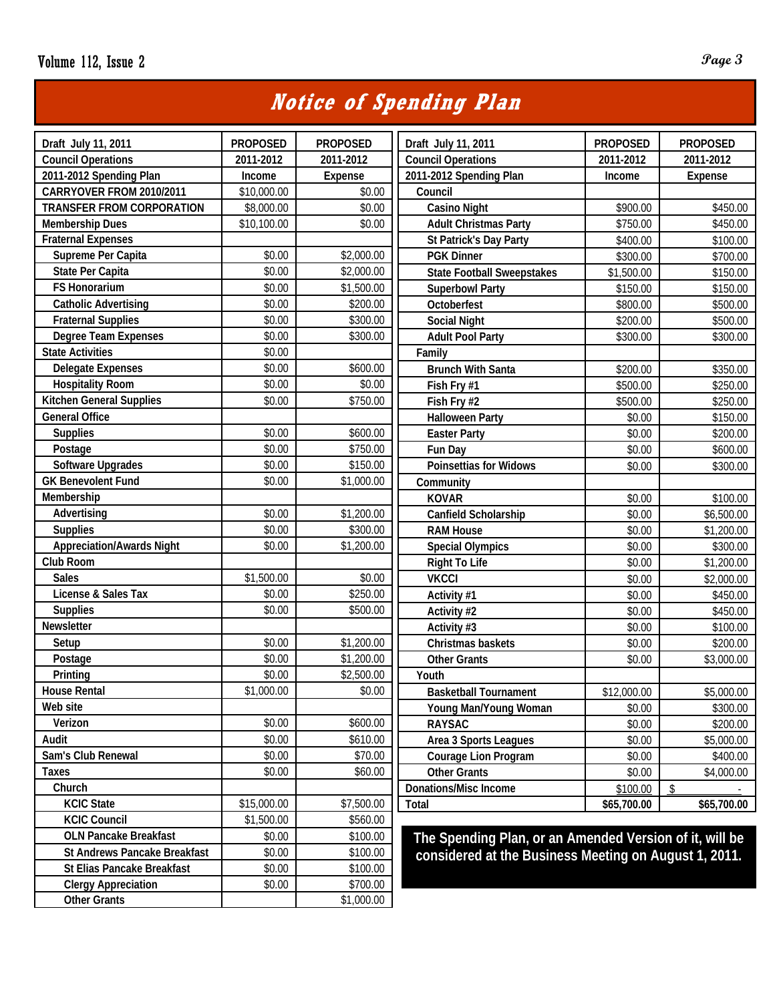### **Notice of Spending Plan**

| Draft July 11, 2011                 | <b>PROPOSED</b> | <b>PROPOSED</b> | Draft July 11, 2011                                     | <b>PROPOSED</b> | <b>PROPOSED</b> |  |  |
|-------------------------------------|-----------------|-----------------|---------------------------------------------------------|-----------------|-----------------|--|--|
| <b>Council Operations</b>           | 2011-2012       | 2011-2012       | <b>Council Operations</b>                               | 2011-2012       | 2011-2012       |  |  |
| 2011-2012 Spending Plan             | Income          | Expense         | 2011-2012 Spending Plan                                 | Income          | Expense         |  |  |
| CARRYOVER FROM 2010/2011            | \$10,000.00     | \$0.00          | Council                                                 |                 |                 |  |  |
| <b>TRANSFER FROM CORPORATION</b>    | \$8,000.00      | \$0.00          | <b>Casino Night</b>                                     | \$900.00        | \$450.00        |  |  |
| <b>Membership Dues</b>              | \$10,100.00     | \$0.00          | <b>Adult Christmas Party</b>                            | \$750.00        | \$450.00        |  |  |
| <b>Fraternal Expenses</b>           |                 |                 | St Patrick's Day Party                                  | \$400.00        | \$100.00        |  |  |
| Supreme Per Capita                  | \$0.00          | \$2,000.00      | <b>PGK Dinner</b>                                       | \$300.00        | \$700.00        |  |  |
| State Per Capita                    | \$0.00          | \$2,000.00      | <b>State Football Sweepstakes</b>                       | \$1,500.00      | \$150.00        |  |  |
| <b>FS Honorarium</b>                | \$0.00          | \$1,500.00      | <b>Superbowl Party</b>                                  | \$150.00        | \$150.00        |  |  |
| <b>Catholic Advertising</b>         | \$0.00          | \$200.00        | Octoberfest                                             | \$800.00        | \$500.00        |  |  |
| <b>Fraternal Supplies</b>           | \$0.00          | \$300.00        | <b>Social Night</b>                                     | \$200.00        | \$500.00        |  |  |
| <b>Degree Team Expenses</b>         | \$0.00          | \$300.00        | <b>Adult Pool Party</b>                                 | \$300.00        | \$300.00        |  |  |
| <b>State Activities</b>             | \$0.00          |                 | Family                                                  |                 |                 |  |  |
| <b>Delegate Expenses</b>            | \$0.00          | \$600.00        | <b>Brunch With Santa</b>                                | \$200.00        | \$350.00        |  |  |
| <b>Hospitality Room</b>             | \$0.00          | \$0.00          | Fish Fry #1                                             | \$500.00        | \$250.00        |  |  |
| <b>Kitchen General Supplies</b>     | \$0.00          | \$750.00        | Fish Fry #2                                             | \$500.00        | \$250.00        |  |  |
| <b>General Office</b>               |                 |                 | <b>Halloween Party</b>                                  | \$0.00          | \$150.00        |  |  |
| <b>Supplies</b>                     | \$0.00          | \$600.00        | <b>Easter Party</b>                                     | \$0.00          | \$200.00        |  |  |
| Postage                             | \$0.00          | \$750.00        | Fun Day                                                 | \$0.00          | \$600.00        |  |  |
| <b>Software Upgrades</b>            | \$0.00          | \$150.00        | Poinsettias for Widows                                  | \$0.00          | \$300.00        |  |  |
| <b>GK Benevolent Fund</b>           | \$0.00          | \$1,000.00      | Community                                               |                 |                 |  |  |
| Membership                          |                 |                 | <b>KOVAR</b>                                            | \$0.00          | \$100.00        |  |  |
| Advertising                         | \$0.00          | \$1,200.00      | Canfield Scholarship                                    | \$0.00          | \$6,500.00      |  |  |
| <b>Supplies</b>                     | \$0.00          | \$300.00        | <b>RAM House</b>                                        | \$0.00          | \$1,200.00      |  |  |
| <b>Appreciation/Awards Night</b>    | \$0.00          | \$1,200.00      | <b>Special Olympics</b>                                 | \$0.00          | \$300.00        |  |  |
| Club Room                           |                 |                 | <b>Right To Life</b>                                    | \$0.00          | \$1,200.00      |  |  |
| <b>Sales</b>                        | \$1,500.00      | \$0.00          | <b>VKCCI</b>                                            | \$0.00          | \$2,000.00      |  |  |
| License & Sales Tax                 | \$0.00          | \$250.00        | Activity #1                                             | \$0.00          | \$450.00        |  |  |
| <b>Supplies</b>                     | \$0.00          | \$500.00        | Activity #2                                             | \$0.00          | \$450.00        |  |  |
| Newsletter                          |                 |                 | Activity #3                                             | \$0.00          | \$100.00        |  |  |
| Setup                               | \$0.00          | \$1,200.00      | Christmas baskets                                       | \$0.00          | \$200.00        |  |  |
| Postage                             | \$0.00          | \$1,200.00      | <b>Other Grants</b>                                     | \$0.00          | \$3,000.00      |  |  |
| Printing                            | \$0.00          | \$2,500.00      | Youth                                                   |                 |                 |  |  |
| <b>House Rental</b>                 | \$1,000.00      | \$0.00          | <b>Basketball Tournament</b>                            | \$12,000.00     | \$5,000.00      |  |  |
| Web site                            |                 |                 | Young Man/Young Woman                                   | \$0.00          | \$300.00        |  |  |
| Verizon                             | \$0.00          | \$600.00        | <b>RAYSAC</b>                                           | \$0.00          | \$200.00        |  |  |
| Audit                               | \$0.00          | \$610.00        | Area 3 Sports Leagues                                   | \$0.00          | \$5,000.00      |  |  |
| Sam's Club Renewal                  | \$0.00          | \$70.00         | Courage Lion Program                                    | \$0.00          | \$400.00        |  |  |
| <b>Taxes</b>                        | \$0.00          | \$60.00         | <b>Other Grants</b>                                     | \$0.00          | \$4,000.00      |  |  |
| Church                              |                 |                 | <b>Donations/Misc Income</b>                            | \$100.00        | \$              |  |  |
| <b>KCIC State</b>                   | \$15,000.00     | \$7,500.00      | Total                                                   | \$65,700.00     | \$65,700.00     |  |  |
| <b>KCIC Council</b>                 | \$1,500.00      | \$560.00        |                                                         |                 |                 |  |  |
| <b>OLN Pancake Breakfast</b>        | \$0.00          | \$100.00        | The Spending Plan, or an Amended Version of it, will be |                 |                 |  |  |
| <b>St Andrews Pancake Breakfast</b> | \$0.00          | \$100.00        | considered at the Business Meeting on August 1, 2011.   |                 |                 |  |  |
| St Elias Pancake Breakfast          | \$0.00          | \$100.00        |                                                         |                 |                 |  |  |
| <b>Clergy Appreciation</b>          | \$0.00          | \$700.00        |                                                         |                 |                 |  |  |
| <b>Other Grants</b>                 |                 | \$1,000.00      |                                                         |                 |                 |  |  |